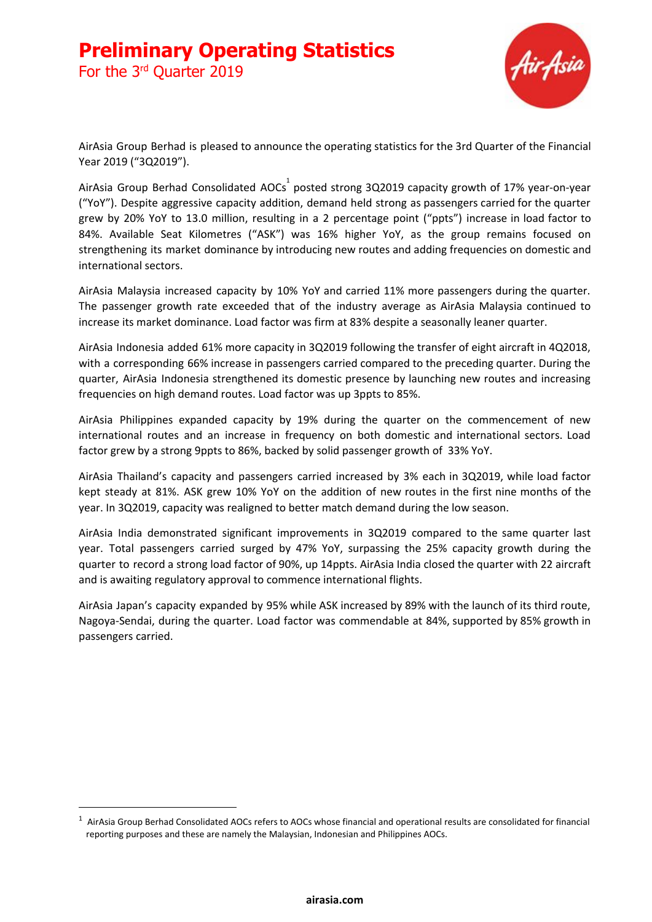For the 3<sup>rd</sup> Quarter 2019



AirAsia Group Berhad is pleased to announce the operating statistics for the 3rd Quarter of the Financial Year 2019 ("3Q2019").

AirAsia Group Berhad Consolidated AOCs $^{\rm 1}$  posted strong 3Q2019 capacity growth of 17% year-on-year ("YoY"). Despite aggressive capacity addition, demand held strong as passengers carried for the quarter grew by 20% YoY to 13.0 million, resulting in a 2 percentage point ("ppts") increase in load factor to 84%. Available Seat Kilometres ("ASK") was 16% higher YoY, as the group remains focused on strengthening its market dominance by introducing new routes and adding frequencies on domestic and international sectors.

AirAsia Malaysia increased capacity by 10% YoY and carried 11% more passengers during the quarter. The passenger growth rate exceeded that of the industry average as AirAsia Malaysia continued to increase its market dominance. Load factor was firm at 83% despite a seasonally leaner quarter.

AirAsia Indonesia added 61% more capacity in 3Q2019 following the transfer of eight aircraft in 4Q2018, with a corresponding 66% increase in passengers carried compared to the preceding quarter. During the quarter, AirAsia Indonesia strengthened its domestic presence by launching new routes and increasing frequencies on high demand routes. Load factor was up 3ppts to 85%.

AirAsia Philippines expanded capacity by 19% during the quarter on the commencement of new international routes and an increase in frequency on both domestic and international sectors. Load factor grew by a strong 9ppts to 86%, backed by solid passenger growth of 33% YoY.

AirAsia Thailand's capacity and passengers carried increased by 3% each in 3Q2019, while load factor kept steady at 81%. ASK grew 10% YoY on the addition of new routes in the first nine months of the year. In 3Q2019, capacity was realigned to better match demand during the low season.

AirAsia India demonstrated significant improvements in 3Q2019 compared to the same quarter last year. Total passengers carried surged by 47% YoY, surpassing the 25% capacity growth during the quarter to record a strong load factor of 90%, up 14ppts. AirAsia India closed the quarter with 22 aircraft and is awaiting regulatory approval to commence international flights.

AirAsia Japan's capacity expanded by 95% while ASK increased by 89% with the launch of its third route, Nagoya-Sendai, during the quarter. Load factor was commendable at 84%, supported by 85% growth in passengers carried.

 $1$  AirAsia Group Berhad Consolidated AOCs refers to AOCs whose financial and operational results are consolidated for financial reporting purposes and these are namely the Malaysian, Indonesian and Philippines AOCs.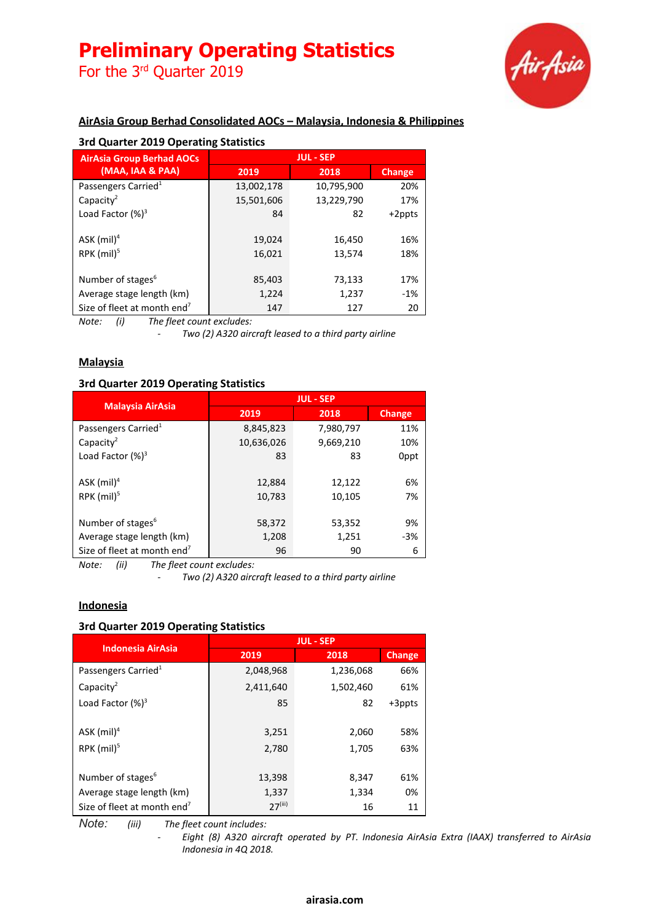For the 3<sup>rd</sup> Quarter 2019



## **AirAsia Group Berhad Consolidated AOCs – Malaysia, Indonesia & Philippines**

| 3rd Quarter 2019 Operating Statistics   |                  |            |        |  |
|-----------------------------------------|------------------|------------|--------|--|
| <b>AirAsia Group Berhad AOCs</b>        | <b>JUL - SEP</b> |            |        |  |
| (MAA, IAA & PAA)                        | 2019             | 2018       | Change |  |
| Passengers Carried <sup>1</sup>         | 13,002,178       | 10,795,900 | 20%    |  |
| Capacity <sup>2</sup>                   | 15,501,606       | 13,229,790 | 17%    |  |
| Load Factor $(%)^3$                     | 84               | 82         | +2ppts |  |
|                                         |                  |            |        |  |
| $ASK$ (mil) <sup>4</sup>                | 19,024           | 16,450     | 16%    |  |
| RPK $(mil)^5$                           | 16,021           | 13,574     | 18%    |  |
|                                         |                  |            |        |  |
| Number of stages <sup>6</sup>           | 85,403           | 73,133     | 17%    |  |
| Average stage length (km)               | 1,224            | 1,237      | $-1%$  |  |
| Size of fleet at month end <sup>7</sup> | 147              | 127        | 20     |  |

*Note: (i) The fleet count excludes:*

*- Two (2) A320 aircraft leased to a third party airline*

### **Malaysia**

### **3rd Quarter 2019 Operating Statistics**

|                                         | <b>JUL - SEP</b> |           |               |  |
|-----------------------------------------|------------------|-----------|---------------|--|
| <b>Malaysia AirAsia</b>                 | 2019             | 2018      | <b>Change</b> |  |
| Passengers Carried <sup>1</sup>         | 8,845,823        | 7,980,797 | 11%           |  |
| Capacity <sup>2</sup>                   | 10,636,026       | 9,669,210 | 10%           |  |
| Load Factor $(%)^3$                     | 83               | 83        | 0ppt          |  |
|                                         |                  |           |               |  |
| ASK $(mil)^4$                           | 12,884           | 12,122    | 6%            |  |
| RPK $(mil)^5$                           | 10,783           | 10,105    | 7%            |  |
|                                         |                  |           |               |  |
| Number of stages <sup>6</sup>           | 58,372           | 53,352    | 9%            |  |
| Average stage length (km)               | 1,208            | 1,251     | $-3%$         |  |
| Size of fleet at month end <sup>7</sup> | 96               | 90        | 6             |  |

*Note: (ii) The fleet count excludes:*

*- Two (2) A320 aircraft leased to a third party airline*

#### **Indonesia**

#### **3rd Quarter 2019 Operating Statistics**

| <b>Indonesia AirAsia</b>                | <b>JUL - SEP</b>      |           |        |  |
|-----------------------------------------|-----------------------|-----------|--------|--|
|                                         | 2019                  | 2018      | Change |  |
| Passengers Carried <sup>1</sup>         | 2,048,968             | 1,236,068 | 66%    |  |
| Capacity <sup>2</sup>                   | 2,411,640             | 1,502,460 | 61%    |  |
| Load Factor $(\%)^3$                    | 85                    | 82        | +3ppts |  |
|                                         |                       |           |        |  |
| ASK $(mil)^4$                           | 3,251                 | 2,060     | 58%    |  |
| RPK $(mil)^5$                           | 2,780                 | 1,705     | 63%    |  |
|                                         |                       |           |        |  |
| Number of stages <sup>6</sup>           | 13,398                | 8,347     | 61%    |  |
| Average stage length (km)               | 1,337                 | 1,334     | 0%     |  |
| Size of fleet at month end <sup>7</sup> | $27$ <sup>(iii)</sup> | 16        | 11     |  |

*Note: (iii) The fleet count includes:*

*- Eight (8) A320 aircraft operated by PT. Indonesia AirAsia Extra (IAAX) transferred to AirAsia Indonesia in 4Q 2018.*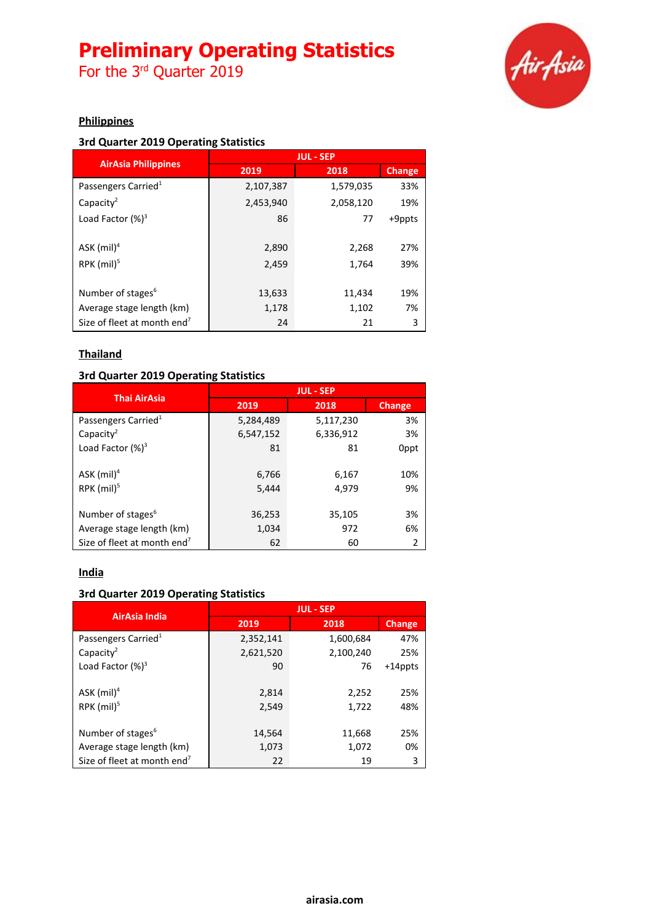For the 3<sup>rd</sup> Quarter 2019



## **Philippines**

## **3rd Quarter 2019 Operating Statistics**

|                                         | <b>JUL - SEP</b> |           |               |  |
|-----------------------------------------|------------------|-----------|---------------|--|
| <b>AirAsia Philippines</b>              | 2019             | 2018      | <b>Change</b> |  |
| Passengers Carried <sup>1</sup>         | 2,107,387        | 1,579,035 | 33%           |  |
| Capacity <sup>2</sup>                   | 2,453,940        | 2,058,120 | 19%           |  |
| Load Factor $(%)^3$                     | 86               | 77        | +9ppts        |  |
|                                         |                  |           |               |  |
| $ASK$ (mil) <sup>4</sup>                | 2,890            | 2,268     | 27%           |  |
| RPK $(mil)^5$                           | 2,459            | 1,764     | 39%           |  |
|                                         |                  |           |               |  |
| Number of stages <sup>6</sup>           | 13,633           | 11,434    | 19%           |  |
| Average stage length (km)               | 1,178            | 1,102     | 7%            |  |
| Size of fleet at month end <sup>7</sup> | 24               | 21        | 3             |  |

## **Thailand**

### **3rd Quarter 2019 Operating Statistics**

| <b>Thai AirAsia</b>                     | <b>JUL - SEP</b> |           |               |  |
|-----------------------------------------|------------------|-----------|---------------|--|
|                                         | 2019             | 2018      | <b>Change</b> |  |
| Passengers Carried <sup>1</sup>         | 5,284,489        | 5,117,230 | 3%            |  |
| Capacity <sup>2</sup>                   | 6,547,152        | 6,336,912 | 3%            |  |
| Load Factor $(\%)^3$                    | 81               | 81        | 0ppt          |  |
|                                         |                  |           |               |  |
| $ASK$ (mil) <sup>4</sup>                | 6,766            | 6,167     | 10%           |  |
| RPK $(mil)^5$                           | 5,444            | 4,979     | 9%            |  |
|                                         |                  |           |               |  |
| Number of stages <sup>6</sup>           | 36,253           | 35,105    | 3%            |  |
| Average stage length (km)               | 1,034            | 972       | 6%            |  |
| Size of fleet at month end <sup>7</sup> | 62               | 60        | 2             |  |

#### **India**

### **3rd Quarter 2019 Operating Statistics**

| AirAsia India                           | <b>JUL - SEP</b> |           |               |  |
|-----------------------------------------|------------------|-----------|---------------|--|
|                                         | 2019             | 2018      | <b>Change</b> |  |
| Passengers Carried <sup>1</sup>         | 2,352,141        | 1,600,684 | 47%           |  |
| Capacity <sup>2</sup>                   | 2,621,520        | 2,100,240 | 25%           |  |
| Load Factor $(\%)^3$                    | 90               | 76        | +14ppts       |  |
|                                         |                  |           |               |  |
| $ASK$ (mil) <sup>4</sup>                | 2,814            | 2,252     | 25%           |  |
| RPK (mil) <sup>5</sup>                  | 2,549            | 1,722     | 48%           |  |
|                                         |                  |           |               |  |
| Number of stages <sup>6</sup>           | 14,564           | 11,668    | 25%           |  |
| Average stage length (km)               | 1,073            | 1,072     | 0%            |  |
| Size of fleet at month end <sup>7</sup> | 22               | 19        | 3             |  |